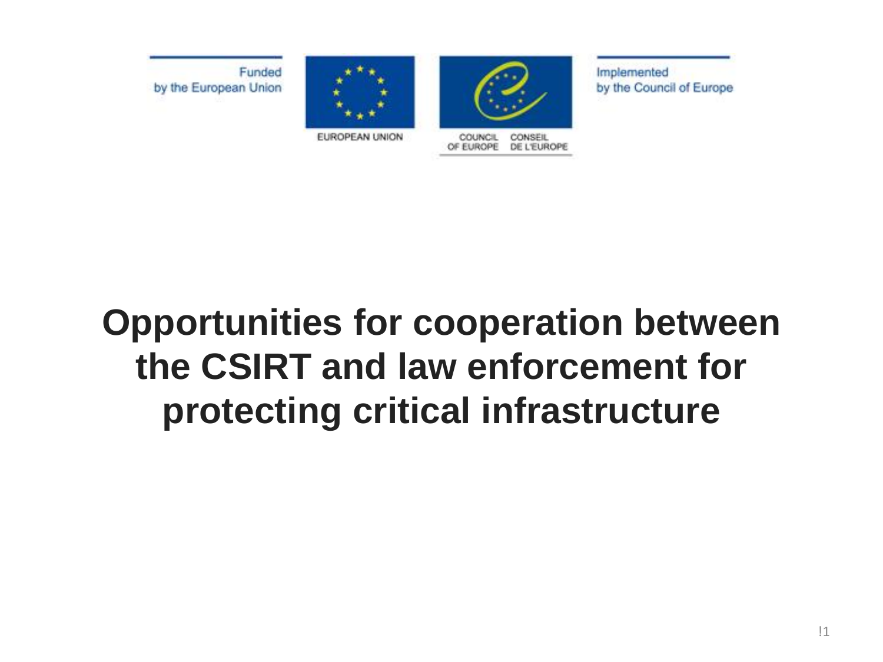Funded by the European Union





OF EUROPE DE L'EUROPE

Implemented by the Council of Europe

EUROPEAN UNION

#### **Opportunities for cooperation between the CSIRT and law enforcement for protecting critical infrastructure**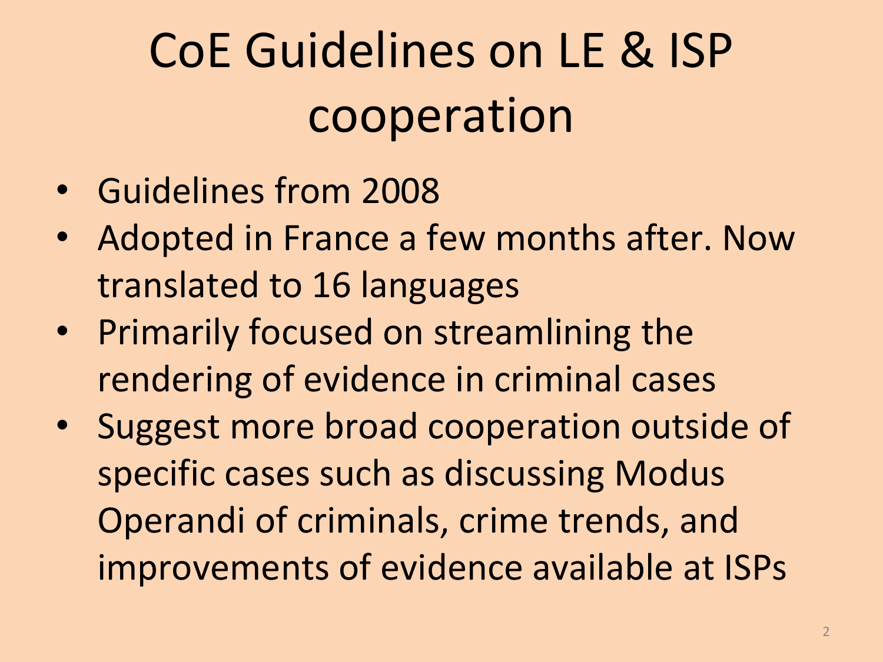## CoE Guidelines on LE & ISP cooperation

- Guidelines from 2008
- Adopted in France a few months after. Now translated to 16 languages
- Primarily focused on streamlining the rendering of evidence in criminal cases
- Suggest more broad cooperation outside of specific cases such as discussing Modus Operandi of criminals, crime trends, and improvements of evidence available at ISPs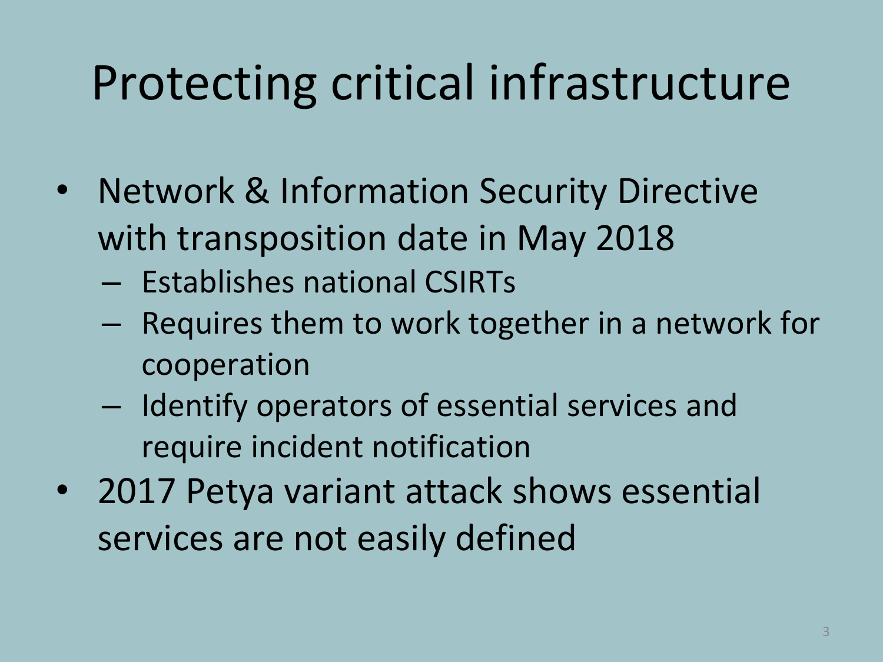## Protecting critical infrastructure

- Network & Information Security Directive with transposition date in May 2018
	- Establishes national CSIRTs
	- Requires them to work together in a network for cooperation
	- Identify operators of essential services and require incident notification
- 2017 Petya variant attack shows essential services are not easily defined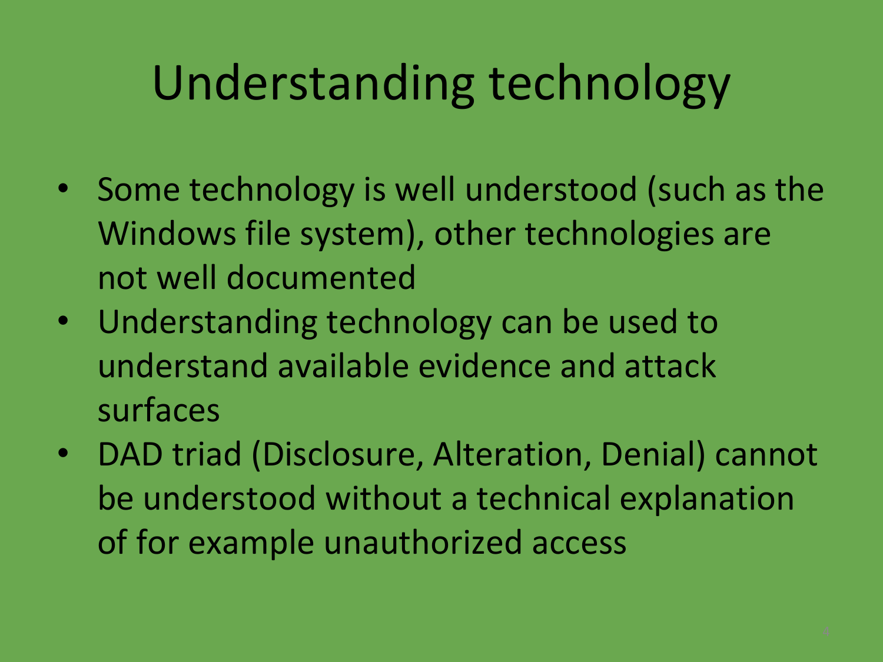## Understanding technology

- Some technology is well understood (such as the Windows file system), other technologies are not well documented
- Understanding technology can be used to understand available evidence and attack surfaces
- DAD triad (Disclosure, Alteration, Denial) cannot be understood without a technical explanation of for example unauthorized access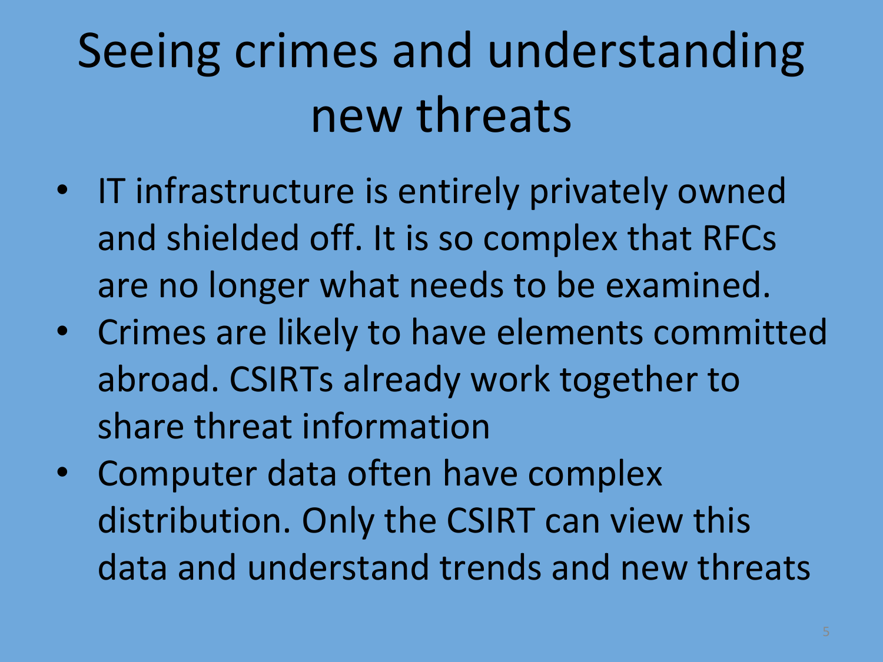## Seeing crimes and understanding new threats

- IT infrastructure is entirely privately owned and shielded off. It is so complex that RFCs are no longer what needs to be examined.
- Crimes are likely to have elements committed abroad. CSIRTs already work together to share threat information
- Computer data often have complex distribution. Only the CSIRT can view this data and understand trends and new threats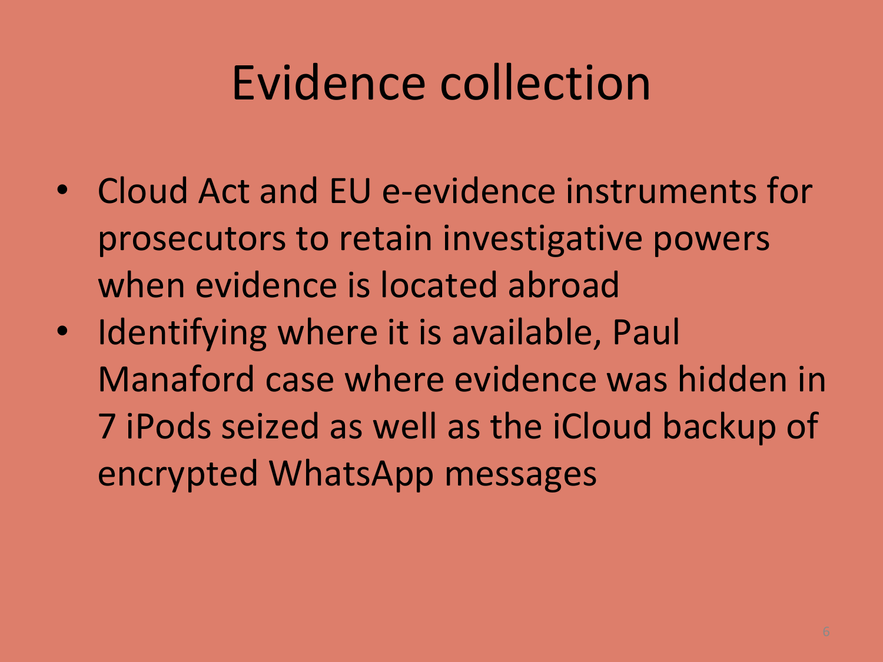#### Evidence collection

- Cloud Act and EU e-evidence instruments for prosecutors to retain investigative powers when evidence is located abroad
- Identifying where it is available, Paul Manaford case where evidence was hidden in 7 iPods seized as well as the iCloud backup of encrypted WhatsApp messages